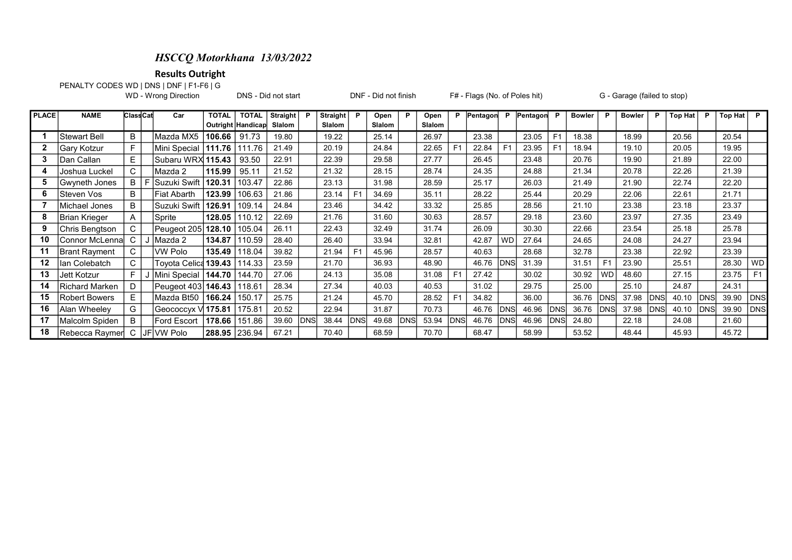## HSCCQ Motorkhana 13/03/2022

Results Outright

PENALTY CODES WD | DNS | DNF | F1-F6 | G<br>WD - Wrong Direction

DNS - Did not start **DNF** - Did not finish F# - Flags (No. of Poles hit) G - Garage (failed to stop)

| PLACE | <b>NAME</b>     | <b>ClassCat</b> |     | Car                    | <b>TOTAL</b>  | <b>TOTAL</b>        | <b>Straight</b> | P          | <b>Straight</b> | P              | Open   | P          | Open   | P              | Pentagon | <b>P</b>       | Pentagon | - P            | <b>Bowler</b> | - P            | <b>Bowler</b> | P     | Top Hat | P    | Top Hat $\overline{P}$ |            |
|-------|-----------------|-----------------|-----|------------------------|---------------|---------------------|-----------------|------------|-----------------|----------------|--------|------------|--------|----------------|----------|----------------|----------|----------------|---------------|----------------|---------------|-------|---------|------|------------------------|------------|
|       |                 |                 |     |                        |               | Outright   Handicap | Slalom          |            | Slalom          |                | Slalom |            | Slalom |                |          |                |          |                |               |                |               |       |         |      |                        |            |
|       | Stewart Bell    | B               |     | Mazda MX5              | 106.66        | 91.73               | 19.80           |            | 19.22           |                | 25.14  |            | 26.97  |                | 23.38    |                | 23.05    | F <sub>1</sub> | 18.38         |                | 18.99         |       | 20.56   |      | 20.54                  |            |
|       | Gary Kotzur     | F.              |     | Mini Special           | 1111.76       | 111.76              | 21.49           |            | 20.19           |                | 24.84  |            | 22.65  | F <sub>1</sub> | 22.84    | F <sub>1</sub> | 23.95    | F <sub>1</sub> | 18.94         |                | 19.10         |       | 20.05   |      | 19.95                  |            |
| 3     | Dan Callan      | E               |     | Subaru WRX 115.43      |               | 93.50               | 22.91           |            | 22.39           |                | 29.58  |            | 27.77  |                | 26.45    |                | 23.48    |                | 20.76         |                | 19.90         |       | 21.89   |      | 22.00                  |            |
|       | Joshua Luckel   | C               |     | Mazda 2                | 115.99        | 95.11               | 21.52           |            | 21.32           |                | 28.15  |            | 28.74  |                | 24.35    |                | 24.88    |                | 21.34         |                | 20.78         |       | 22.26   |      | 21.39                  |            |
| 5     | Gwyneth Jones   | B               |     | Suzuki Swift           | 120.31        | 103.47              | 22.86           |            | 23.13           |                | 31.98  |            | 28.59  |                | 25.17    |                | 26.03    |                | 21.49         |                | 21.90         |       | 22.74   |      | 22.20                  |            |
| 6     | ISteven Vos     | B               |     | Fiat Abarth            | 123.99        | 106.63              | 21.86           |            | 23.14           | F <sub>1</sub> | 34.69  |            | 35.11  |                | 28.22    |                | 25.44    |                | 20.29         |                | 22.06         |       | 22.61   |      | 21.71                  |            |
|       | Michael Jones   | B               |     | Suzuki Swift           | 126.91        | 109.14              | 24.84           |            | 23.46           |                | 34.42  |            | 33.32  |                | 25.85    |                | 28.56    |                | 21.10         |                | 23.38         |       | 23.18   |      | 23.37                  |            |
| 8     | Brian Krieger   | A               |     | Sprite                 | 128.05        | 10.12               | 22.69           |            | 21.76           |                | 31.60  |            | 30.63  |                | 28.57    |                | 29.18    |                | 23.60         |                | 23.97         |       | 27.35   |      | 23.49                  |            |
| 9     | Chris Bengtson  | C               |     | Peugeot 205 128.10     |               | 105.04              | 26.11           |            | 22.43           |                | 32.49  |            | 31.74  |                | 26.09    |                | 30.30    |                | 22.66         |                | 23.54         |       | 25.18   |      | 25.78                  |            |
| 10    | Connor McLennal |                 |     | J Mazda 2              | 134.87        | 110.59              | 28.40           |            | 26.40           |                | 33.94  |            | 32.81  |                | 42.87    | <b>WD</b>      | 27.64    |                | 24.65         |                | 24.08         |       | 24.27   |      | 23.94                  |            |
| 11    | Brant Rayment   | C               |     | VW Polo                | 135.49        | 18.04               | 39.82           |            | 21.94           | F <sub>1</sub> | 45.96  |            | 28.57  |                | 40.63    |                | 28.68    |                | 32.78         |                | 23.38         |       | 22.92   |      | 23.39                  |            |
| 12    | Ian Colebatch   | C               |     | Toyota Celica 139.43 I |               | 114.33              | 23.59           |            | 21.70           |                | 36.93  |            | 48.90  |                | 46.76    | <b>DNS</b>     | 31.39    |                | 31.51         | F <sub>1</sub> | 23.90         |       | 25.51   |      | 28.30                  | WD         |
| 13    | Jett Kotzur     | F               |     | J  Mini Special        | 144.70        | 144.70              | 27.06           |            | 24.13           |                | 35.08  |            | 31.08  | F <sub>1</sub> | 27.42    |                | 30.02    |                | 30.92         | <b>WD</b>      | 48.60         |       | 27.15   |      | 23.75                  |            |
| 14    | Richard Marken  | D               |     | Peugeot 403   146.43   |               | 118.61              | 28.34           |            | 27.34           |                | 40.03  |            | 40.53  |                | 31.02    |                | 29.75    |                | 25.00         |                | 25.10         |       | 24.87   |      | 24.31                  |            |
| 15    | Robert Bowers   | Е               |     | Mazda Bt50             | 166.24        | 150.17              | 25.75           |            | 21.24           |                | 45.70  |            | 28.52  | F <sub>1</sub> | 34.82    |                | 36.00    |                | 36.76         | <b>DNS</b>     | 37.98         | IDNS  | 40.10   | IDNS | 39.90                  | <b>DNS</b> |
| 16    | Alan Wheeley    | G               |     | Geococcyx V  175.81    |               | 175.81              | 20.52           |            | 22.94           |                | 31.87  |            | 70.73  |                | 46.76    | <b>DNS</b>     | 46.96    | <b>DNS</b>     | 36.76         | <b>DNS</b>     | 37.98         | IDNSI | 40.10   | IDNS | 39.90                  | <b>DNS</b> |
| 17    | Malcolm Spiden  | B               |     | <b>Ford Escort</b>     | 178.66        | 151.86              | 39.60           | <b>DNS</b> | 38.44           | DNS            | 49.68  | <b>DNS</b> | 53.94  | <b>DNS</b>     | 46.76    | <b>DNS</b>     | 46.96    | IDNSI          | 24.80         |                | 22.18         |       | 24.08   |      | 21.60                  |            |
| 18    | ∣Rebecca Raymer | C               | JF. | VW Polo                | 288.95 236.94 |                     | 67.21           |            | 70.40           |                | 68.59  |            | 70.70  |                | 68.47    |                | 58.99    |                | 53.52         |                | 48.44         |       | 45.93   |      | 45.72                  |            |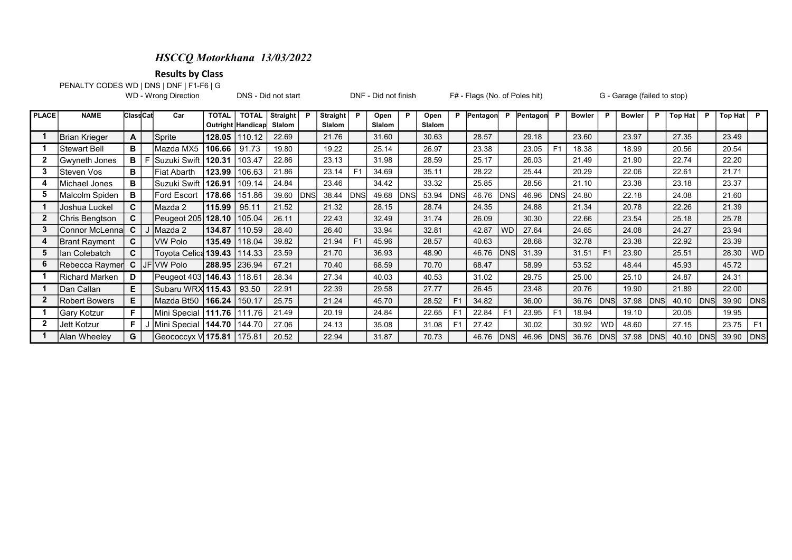## HSCCQ Motorkhana 13/03/2022

Results by Class

PENALTY CODES:WD | DNS | DNF | F1-F6 | G

WD - Wrong Direction **DNS** - Did not start DNF - Did not finish F# - Flags (No. of Poles hit) G - Garage (failed to stop)

| PLACE | <b>NAME</b>      | <b>Class Cat</b> |      | Car                         | <b>TOTAL</b>  | <b>TOTAL</b>      | <b>Straight</b> | P          | <b>Straight</b> | D              | Open   | P          | Open          |                | Pentagon | P              | Pentagon | - P            | <b>Bowler</b> | - P            | <b>Bowler</b> | P            | <b>Top Hat</b> | P     | Top Hat | P              |
|-------|------------------|------------------|------|-----------------------------|---------------|-------------------|-----------------|------------|-----------------|----------------|--------|------------|---------------|----------------|----------|----------------|----------|----------------|---------------|----------------|---------------|--------------|----------------|-------|---------|----------------|
|       |                  |                  |      |                             |               | Outright Handicap | Slalom          |            | Slalom          |                | Slalom |            | <b>Slalom</b> |                |          |                |          |                |               |                |               |              |                |       |         |                |
|       | Brian Krieger    | A                |      | Sprite                      | 128.05        | 110.12            | 22.69           |            | 21.76           |                | 31.60  |            | 30.63         |                | 28.57    |                | 29.18    |                | 23.60         |                | 23.97         |              | 27.35          |       | 23.49   |                |
|       | Stewart Bell     | в                |      | Mazda MX5                   | 106.66        | 91.73             | 19.80           |            | 19.22           |                | 25.14  |            | 26.97         |                | 23.38    |                | 23.05    | F <sub>1</sub> | 18.38         |                | 18.99         |              | 20.56          |       | 20.54   |                |
|       | Gwyneth Jones    | в                |      | Suzuki Swift                | 120.31        | 103.47            | 22.86           |            | 23.13           |                | 31.98  |            | 28.59         |                | 25.17    |                | 26.03    |                | 21.49         |                | 21.90         |              | 22.74          |       | 22.20   |                |
|       | ISteven Vos      | в                |      | Fiat Abarth                 | 123.99        | 106.63            | 21.86           |            | 23.14           | F <sub>1</sub> | 34.69  |            | 35.11         |                | 28.22    |                | 25.44    |                | 20.29         |                | 22.06         |              | 22.61          |       | 21.71   |                |
|       | Michael Jones    | в                |      | Suzuki Swift   126.91       |               | 109.14            | 24.84           |            | 23.46           |                | 34.42  |            | 33.32         |                | 25.85    |                | 28.56    |                | 21.10         |                | 23.38         |              | 23.18          |       | 23.37   |                |
| 5     | Malcolm Spiden   | в                |      | <b>Ford Escort</b>          | 178.66        | 151.86            | 39.60           | <b>DNS</b> | 38.44           | <b>DNS</b>     | 49.68  | <b>DNS</b> | 53.94         | DNS            | 46.76    | <b>DNS</b>     | 46.96    | <b>DNS</b>     | 24.80         |                | 22.18         |              | 24.08          |       | 21.60   |                |
|       | Joshua Luckel    | C                |      | Mazda 2                     | 115.99        | 95.11             | 21.52           |            | 21.32           |                | 28.15  |            | 28.74         |                | 24.35    |                | 24.88    |                | 21.34         |                | 20.78         |              | 22.26          |       | 21.39   |                |
|       | Chris Bengtson   | C.               |      | Peugeot 205 128.10          |               | 105.04            | 26.11           |            | 22.43           |                | 32.49  |            | 31.74         |                | 26.09    |                | 30.30    |                | 22.66         |                | 23.54         |              | 25.18          |       | 25.78   |                |
|       | lConnor McLennal | C                |      | I Mazda 2                   | 134.87        | 110.59            | 28.40           |            | 26.40           |                | 33.94  |            | 32.81         |                | 42.87    | <b>WD</b>      | 27.64    |                | 24.65         |                | 24.08         |              | 24.27          |       | 23.94   |                |
|       | Brant Rayment    | C.               |      | <b>VW Polo</b>              | 135.49        | 118.04            | 39.82           |            | 21.94           | F <sub>1</sub> | 45.96  |            | 28.57         |                | 40.63    |                | 28.68    |                | 32.78         |                | 23.38         |              | 22.92          |       | 23.39   |                |
| 5     | Ilan Colebatch   | C.               |      | Toyota Celica <b>139.43</b> |               | 114.33            | 23.59           |            | 21.70           |                | 36.93  |            | 48.90         |                | 46.76    | <b>DNS</b>     | 31.39    |                | 31.51         | F <sub>1</sub> | 23.90         |              | 25.51          |       | 28.30   | WD             |
| 6     | Rebecca Raymer   | C                | JFI. | VW Polo                     | 288.95 236.94 |                   | 67.21           |            | 70.40           |                | 68.59  |            | 70.70         |                | 68.47    |                | 58.99    |                | 53.52         |                | 48.44         |              | 45.93          |       | 45.72   |                |
|       | Richard Marken   | D                |      | Peugeot 403 146.43   118.61 |               |                   | 28.34           |            | 27.34           |                | 40.03  |            | 40.53         |                | 31.02    |                | 29.75    |                | 25.00         |                | 25.10         |              | 24.87          |       | 24.31   |                |
|       | lDan Callan      | E.               |      | Subaru WRX 115.43           |               | 93.50             | 22.91           |            | 22.39           |                | 29.58  |            | 27.77         |                | 26.45    |                | 23.48    |                | 20.76         |                | 19.90         |              | 21.89          |       | 22.00   |                |
|       | Robert Bowers    | Е                |      | Mazda Bt50   166.24         |               | 150.17            | 25.75           |            | 21.24           |                | 45.70  |            | 28.52         | F <sub>1</sub> | 34.82    |                | 36.00    |                | 36.76         | <b>DNS</b>     | 37.98         | <b>IDNS</b>  | 40.10          | IDNS  | 39.90   | <b>DNS</b>     |
|       | Gary Kotzur      | F                |      | Mini Special   111.76       |               | 111.76            | 21.49           |            | 20.19           |                | 24.84  |            | 22.65         | F <sub>1</sub> | 22.84    | F <sub>1</sub> | 23.95    | F <sub>1</sub> | 18.94         |                | 19.10         |              | 20.05          |       | 19.95   |                |
|       | Jett Kotzur      | F                |      | Mini Special                | 144.70        | 144.70            | 27.06           |            | 24.13           |                | 35.08  |            | 31.08         | F <sub>1</sub> | 27.42    |                | 30.02    |                | 30.92         | <b>WD</b>      | 48.60         |              | 27.15          |       | 23.75   | F <sub>1</sub> |
|       | Alan Wheeley     | G                |      | Geococcyx V 175.81   175.81 |               |                   | 20.52           |            | 22.94           |                | 31.87  |            | 70.73         |                | 46.76    | <b>DNS</b>     | 46.96    | <b>IDNSI</b>   | 36.76         | <b>DNS</b>     | 37.98         | <b>IDNSI</b> | 40.10          | IDNSI | 39.90   | DNS            |